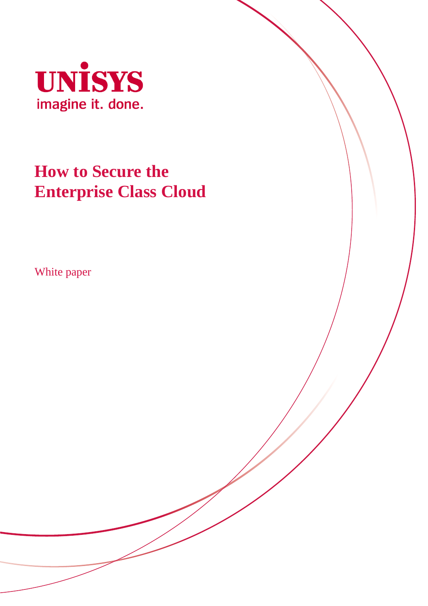

# **How to Secure the Enterprise Class Cloud**

White paper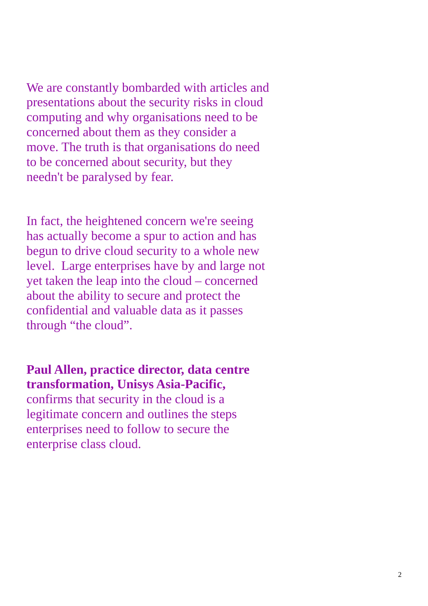We are constantly bombarded with articles and presentations about the security risks in cloud computing and why organisations need to be concerned about them as they consider a move. The truth is that organisations do need to be concerned about security, but they needn't be paralysed by fear.

In fact, the heightened concern we're seeing has actually become a spur to action and has begun to drive cloud security to a whole new level. Large enterprises have by and large not yet taken the leap into the cloud – concerned about the ability to secure and protect the confidential and valuable data as it passes through "the cloud".

**Paul Allen, practice director, data centre transformation, Unisys Asia-Pacific,**

confirms that security in the cloud is a legitimate concern and outlines the steps enterprises need to follow to secure the enterprise class cloud.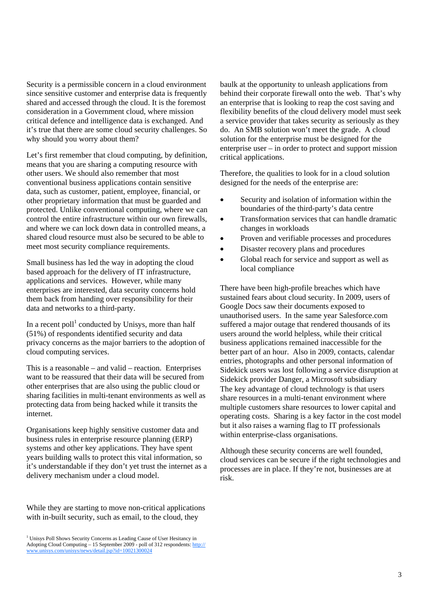Security is a permissible concern in a cloud environment since sensitive customer and enterprise data is frequently shared and accessed through the cloud. It is the foremost consideration in a Government cloud, where mission critical defence and intelligence data is exchanged. And it's true that there are some cloud security challenges. So why should you worry about them?

Let's first remember that cloud computing, by definition, means that you are sharing a computing resource with other users. We should also remember that most conventional business applications contain sensitive data, such as customer, patient, employee, financial, or other proprietary information that must be guarded and protected. Unlike conventional computing, where we can control the entire infrastructure within our own firewalls, and where we can lock down data in controlled means, a shared cloud resource must also be secured to be able to meet most security compliance requirements.

Small business has led the way in adopting the cloud based approach for the delivery of IT infrastructure, applications and services. However, while many enterprises are interested, data security concerns hold them back from handing over responsibility for their data and networks to a third-party.

In a recent poll<sup>1</sup> conducted by Unisys, more than half (51%) of respondents identified security and data privacy concerns as the major barriers to the adoption of cloud computing services.

This is a reasonable – and valid – reaction. Enterprises want to be reassured that their data will be secured from other enterprises that are also using the public cloud or sharing facilities in multi-tenant environments as well as protecting data from being hacked while it transits the internet.

Organisations keep highly sensitive customer data and business rules in enterprise resource planning (ERP) systems and other key applications. They have spent years building walls to protect this vital information, so it's understandable if they don't yet trust the internet as a delivery mechanism under a cloud model.

While they are starting to move non-critical applications with in-built security, such as email, to the cloud, they

baulk at the opportunity to unleash applications from behind their corporate firewall onto the web. That's why an enterprise that is looking to reap the cost saving and flexibility benefits of the cloud delivery model must seek a service provider that takes security as seriously as they do. An SMB solution won't meet the grade. A cloud solution for the enterprise must be designed for the enterprise user – in order to protect and support mission critical applications.

Therefore, the qualities to look for in a cloud solution designed for the needs of the enterprise are:

- Security and isolation of information within the boundaries of the third-party's data centre
- Transformation services that can handle dramatic changes in workloads
- Proven and verifiable processes and procedures
- Disaster recovery plans and procedures
- Global reach for service and support as well as local compliance

There have been high-profile breaches which have sustained fears about cloud security. In 2009, users of Google Docs saw their documents exposed to unauthorised users. In the same year Salesforce.com suffered a major outage that rendered thousands of its users around the world helpless, while their critical business applications remained inaccessible for the better part of an hour. Also in 2009, contacts, calendar entries, photographs and other personal information of Sidekick users was lost following a service disruption at Sidekick provider Danger, a Microsoft subsidiary The key advantage of cloud technology is that users share resources in a multi-tenant environment where multiple customers share resources to lower capital and operating costs. Sharing is a key factor in the cost model but it also raises a warning flag to IT professionals within enterprise-class organisations.

Although these security concerns are well founded, cloud services can be secure if the right technologies and processes are in place. If they're not, businesses are at risk.

<sup>&</sup>lt;sup>1</sup> Unisys Poll Shows Security Concerns as Leading Cause of User Hesitancy in Adopting Cloud Computing – 15 September 2009 - poll of 312 respondents: http:// www.unisys.com/unisys/news/detail.jsp?id=10021300024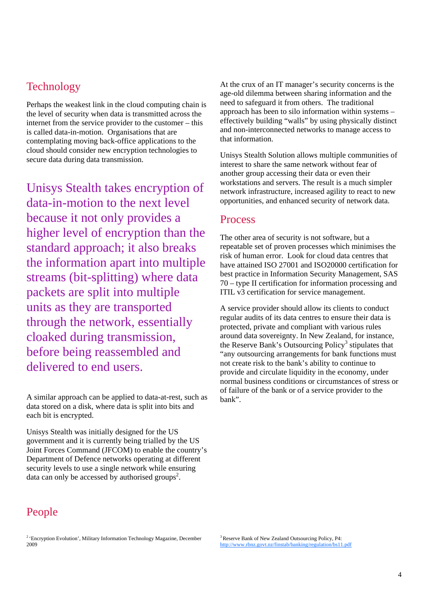## **Technology**

Perhaps the weakest link in the cloud computing chain is the level of security when data is transmitted across the internet from the service provider to the customer – this is called data-in-motion. Organisations that are contemplating moving back-office applications to the cloud should consider new encryption technologies to secure data during data transmission.

Unisys Stealth takes encryption of data-in-motion to the next level because it not only provides a higher level of encryption than the standard approach; it also breaks the information apart into multiple streams (bit-splitting) where data packets are split into multiple units as they are transported through the network, essentially cloaked during transmission, before being reassembled and delivered to end users.

A similar approach can be applied to data-at-rest, such as data stored on a disk, where data is split into bits and each bit is encrypted.

Unisys Stealth was initially designed for the US government and it is currently being trialled by the US Joint Forces Command (JFCOM) to enable the country's Department of Defence networks operating at different security levels to use a single network while ensuring data can only be accessed by authorised groups<sup>2</sup>.

At the crux of an IT manager's security concerns is the age-old dilemma between sharing information and the need to safeguard it from others. The traditional approach has been to silo information within systems – effectively building "walls" by using physically distinct and non-interconnected networks to manage access to that information.

Unisys Stealth Solution allows multiple communities of interest to share the same network without fear of another group accessing their data or even their workstations and servers. The result is a much simpler network infrastructure, increased agility to react to new opportunities, and enhanced security of network data.

### **Process**

The other area of security is not software, but a repeatable set of proven processes which minimises the risk of human error. Look for cloud data centres that have attained ISO 27001 and ISO20000 certification for best practice in Information Security Management, SAS 70 – type II certification for information processing and ITIL v3 certification for service management.

A service provider should allow its clients to conduct regular audits of its data centres to ensure their data is protected, private and compliant with various rules around data sovereignty. In New Zealand, for instance, the Reserve Bank's Outsourcing Policy<sup>3</sup> stipulates that "any outsourcing arrangements for bank functions must not create risk to the bank's ability to continue to provide and circulate liquidity in the economy, under normal business conditions or circumstances of stress or of failure of the bank or of a service provider to the bank".

# People

<sup>&</sup>lt;sup>2</sup> 'Encryption Evolution', Military Information Technology Magazine, December 2009

<sup>&</sup>lt;sup>3</sup> Reserve Bank of New Zealand Outsourcing Policy, P4: http://www.rbnz.govt.nz/finstab/banking/regulation/bs11.pdf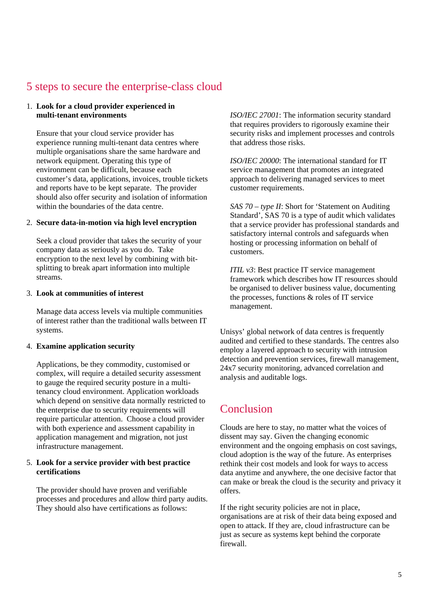### 5 steps to secure the enterprise-class cloud

#### 1. **Look for a cloud provider experienced in multi-tenant environments**

Ensure that your cloud service provider has experience running multi-tenant data centres where multiple organisations share the same hardware and network equipment. Operating this type of environment can be difficult, because each customer's data, applications, invoices, trouble tickets and reports have to be kept separate. The provider should also offer security and isolation of information within the boundaries of the data centre.

#### 2. **Secure data-in-motion via high level encryption**

Seek a cloud provider that takes the security of your company data as seriously as you do. Take encryption to the next level by combining with bitsplitting to break apart information into multiple streams.

#### 3. **Look at communities of interest**

Manage data access levels via multiple communities of interest rather than the traditional walls between IT systems.

#### 4. **Examine application security**

Applications, be they commodity, customised or complex, will require a detailed security assessment to gauge the required security posture in a multitenancy cloud environment. Application workloads which depend on sensitive data normally restricted to the enterprise due to security requirements will require particular attention. Choose a cloud provider with both experience and assessment capability in application management and migration, not just infrastructure management.

#### 5. **Look for a service provider with best practice certifications**

The provider should have proven and verifiable processes and procedures and allow third party audits. They should also have certifications as follows:

*ISO/IEC 27001*: The information security standard that requires providers to rigorously examine their security risks and implement processes and controls that address those risks.

*ISO/IEC 20000*: The international standard for IT service management that promotes an integrated approach to delivering managed services to meet customer requirements.

*SAS 70 – type II*: Short for 'Statement on Auditing Standard', SAS 70 is a type of audit which validates that a service provider has professional standards and satisfactory internal controls and safeguards when hosting or processing information on behalf of customers.

*ITIL v3*: Best practice IT service management framework which describes how IT resources should be organised to deliver business value, documenting the processes, functions & roles of IT service management.

Unisys' global network of data centres is frequently audited and certified to these standards. The centres also employ a layered approach to security with intrusion detection and prevention services, firewall management, 24x7 security monitoring, advanced correlation and analysis and auditable logs.

### Conclusion

Clouds are here to stay, no matter what the voices of dissent may say. Given the changing economic environment and the ongoing emphasis on cost savings, cloud adoption is the way of the future. As enterprises rethink their cost models and look for ways to access data anytime and anywhere, the one decisive factor that can make or break the cloud is the security and privacy it offers.

If the right security policies are not in place, organisations are at risk of their data being exposed and open to attack. If they are, cloud infrastructure can be just as secure as systems kept behind the corporate firewall.